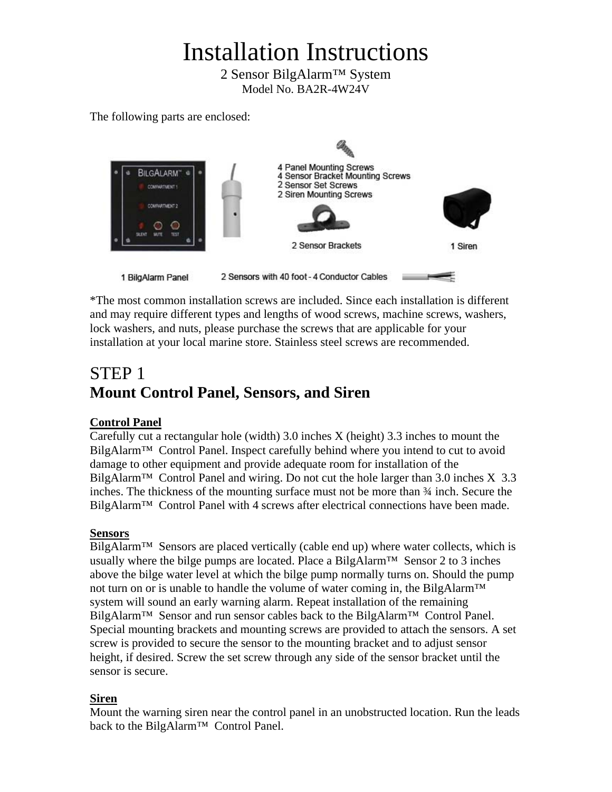# Installation Instructions

2 Sensor BilgAlarm™ System Model No. BA2R-4W24V

The following parts are enclosed:



\*The most common installation screws are included. Since each installation is different and may require different types and lengths of wood screws, machine screws, washers, lock washers, and nuts, please purchase the screws that are applicable for your installation at your local marine store. Stainless steel screws are recommended.

# STEP 1 **Mount Control Panel, Sensors, and Siren**

### **Control Panel**

Carefully cut a rectangular hole (width) 3.0 inches X (height) 3.3 inches to mount the BilgAlarm<sup>™</sup> Control Panel. Inspect carefully behind where you intend to cut to avoid damage to other equipment and provide adequate room for installation of the BilgAlarm<sup>™</sup> Control Panel and wiring. Do not cut the hole larger than 3.0 inches  $X$  3.3 inches. The thickness of the mounting surface must not be more than ¾ inch. Secure the BilgAlarm™ Control Panel with 4 screws after electrical connections have been made.

### **Sensors**

 $Bilg$ Alarm<sup>™</sup> Sensors are placed vertically (cable end up) where water collects, which is usually where the bilge pumps are located. Place a BilgAlarm<sup>TM</sup> Sensor 2 to 3 inches above the bilge water level at which the bilge pump normally turns on. Should the pump not turn on or is unable to handle the volume of water coming in, the BilgAlarm<sup>™</sup> system will sound an early warning alarm. Repeat installation of the remaining BilgAlarm<sup>™</sup> Sensor and run sensor cables back to the BilgAlarm<sup>™</sup> Control Panel. Special mounting brackets and mounting screws are provided to attach the sensors. A set screw is provided to secure the sensor to the mounting bracket and to adjust sensor height, if desired. Screw the set screw through any side of the sensor bracket until the sensor is secure.

### **Siren**

Mount the warning siren near the control panel in an unobstructed location. Run the leads back to the BilgAlarm<sup>™</sup> Control Panel.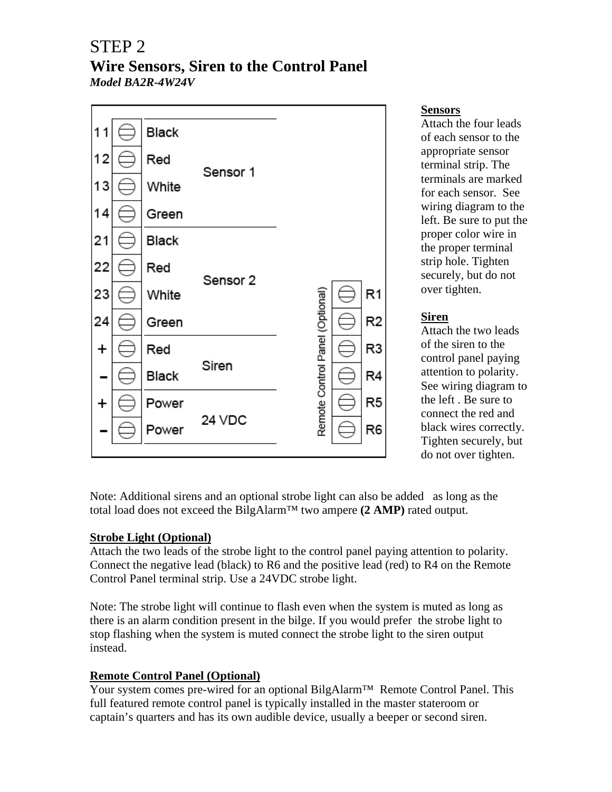### STEP 2 **Wire Sensors, Siren to the Control Panel**  *Model BA2R-4W24V*



### **Sensors**

Attach the four leads of each sensor to the appropriate sensor terminal strip. The terminals are marked for each sensor. See wiring diagram to the left. Be sure to put the proper color wire in the proper terminal strip hole. Tighten securely, but do not over tighten.

### **Siren**

Attach the two leads of the siren to the control panel paying attention to polarity. See wiring diagram to the left . Be sure to connect the red and black wires correctly. Tighten securely, but do not over tighten.

Note: Additional sirens and an optional strobe light can also be added as long as the total load does not exceed the BilgAlarm™ two ampere **(2 AMP)** rated output.

### **Strobe Light (Optional)**

Attach the two leads of the strobe light to the control panel paying attention to polarity. Connect the negative lead (black) to R6 and the positive lead (red) to R4 on the Remote Control Panel terminal strip. Use a 24VDC strobe light.

Note: The strobe light will continue to flash even when the system is muted as long as there is an alarm condition present in the bilge. If you would prefer the strobe light to stop flashing when the system is muted connect the strobe light to the siren output instead.

### **Remote Control Panel (Optional)**

Your system comes pre-wired for an optional BilgAlarm™ Remote Control Panel. This full featured remote control panel is typically installed in the master stateroom or captain's quarters and has its own audible device, usually a beeper or second siren.